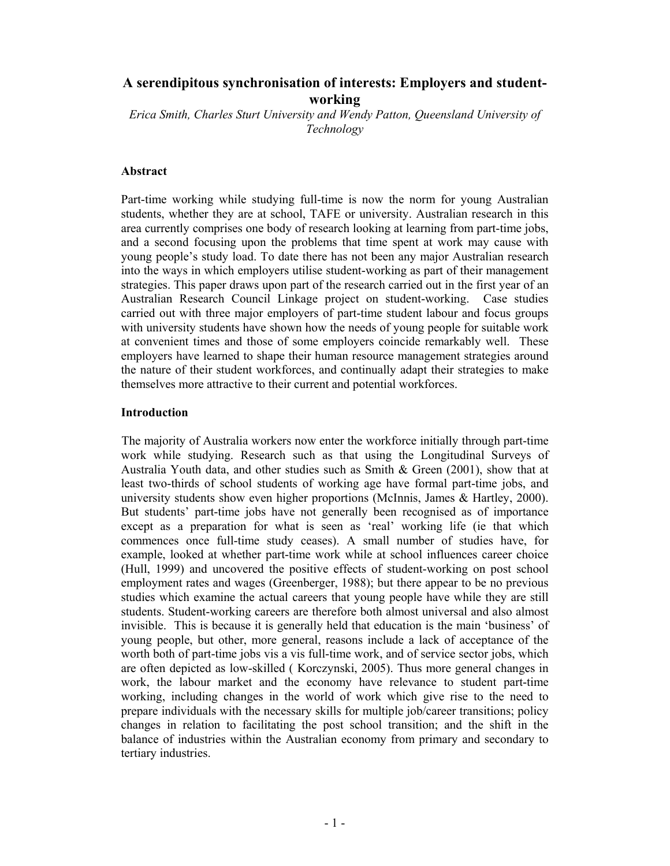# **A serendipitous synchronisation of interests: Employers and studentworking**

*Erica Smith, Charles Sturt University and Wendy Patton, Queensland University of Technology* 

### **Abstract**

Part-time working while studying full-time is now the norm for young Australian students, whether they are at school, TAFE or university. Australian research in this area currently comprises one body of research looking at learning from part-time jobs, and a second focusing upon the problems that time spent at work may cause with young people's study load. To date there has not been any major Australian research into the ways in which employers utilise student-working as part of their management strategies. This paper draws upon part of the research carried out in the first year of an Australian Research Council Linkage project on student-working. Case studies carried out with three major employers of part-time student labour and focus groups with university students have shown how the needs of young people for suitable work at convenient times and those of some employers coincide remarkably well. These employers have learned to shape their human resource management strategies around the nature of their student workforces, and continually adapt their strategies to make themselves more attractive to their current and potential workforces.

### **Introduction**

 The majority of Australia workers now enter the workforce initially through part-time work while studying. Research such as that using the Longitudinal Surveys of Australia Youth data, and other studies such as Smith & Green (2001), show that at least two-thirds of school students of working age have formal part-time jobs, and university students show even higher proportions (McInnis, James & Hartley, 2000). But students' part-time jobs have not generally been recognised as of importance except as a preparation for what is seen as 'real' working life (ie that which commences once full-time study ceases). A small number of studies have, for example, looked at whether part-time work while at school influences career choice (Hull, 1999) and uncovered the positive effects of student-working on post school employment rates and wages (Greenberger, 1988); but there appear to be no previous studies which examine the actual careers that young people have while they are still students. Student-working careers are therefore both almost universal and also almost invisible.This is because it is generally held that education is the main 'business' of young people, but other, more general, reasons include a lack of acceptance of the worth both of part-time jobs vis a vis full-time work, and of service sector jobs, which are often depicted as low-skilled ( Korczynski, 2005). Thus more general changes in work, the labour market and the economy have relevance to student part-time working, including changes in the world of work which give rise to the need to prepare individuals with the necessary skills for multiple job/career transitions; policy changes in relation to facilitating the post school transition; and the shift in the balance of industries within the Australian economy from primary and secondary to tertiary industries.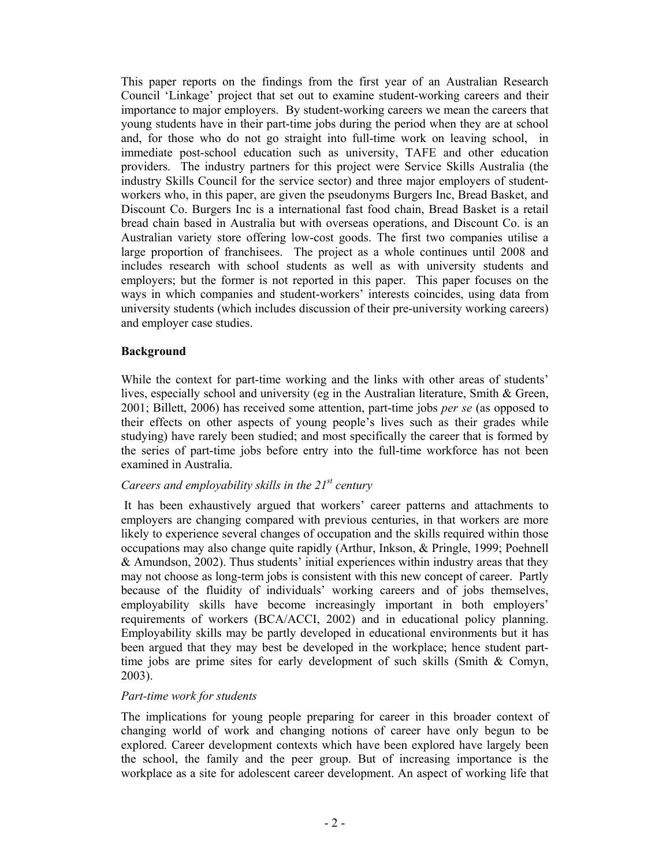This paper reports on the findings from the first year of an Australian Research Council 'Linkage' project that set out to examine student-working careers and their importance to major employers. By student-working careers we mean the careers that young students have in their part-time jobs during the period when they are at school and, for those who do not go straight into full-time work on leaving school, in immediate post-school education such as university, TAFE and other education providers. The industry partners for this project were Service Skills Australia (the industry Skills Council for the service sector) and three major employers of studentworkers who, in this paper, are given the pseudonyms Burgers Inc, Bread Basket, and Discount Co. Burgers Inc is a international fast food chain, Bread Basket is a retail bread chain based in Australia but with overseas operations, and Discount Co. is an Australian variety store offering low-cost goods. The first two companies utilise a large proportion of franchisees. The project as a whole continues until 2008 and includes research with school students as well as with university students and employers; but the former is not reported in this paper. This paper focuses on the ways in which companies and student-workers' interests coincides, using data from university students (which includes discussion of their pre-university working careers) and employer case studies.

### **Background**

While the context for part-time working and the links with other areas of students' lives, especially school and university (eg in the Australian literature, Smith & Green, 2001; Billett, 2006) has received some attention, part-time jobs *per se* (as opposed to their effects on other aspects of young people's lives such as their grades while studying) have rarely been studied; and most specifically the career that is formed by the series of part-time jobs before entry into the full-time workforce has not been examined in Australia.

## *Careers and employability skills in the 21st century*

It has been exhaustively argued that workers' career patterns and attachments to employers are changing compared with previous centuries, in that workers are more likely to experience several changes of occupation and the skills required within those occupations may also change quite rapidly (Arthur, Inkson, & Pringle, 1999; Poehnell & Amundson, 2002). Thus students' initial experiences within industry areas that they may not choose as long-term jobs is consistent with this new concept of career. Partly because of the fluidity of individuals' working careers and of jobs themselves, employability skills have become increasingly important in both employers' requirements of workers (BCA/ACCI, 2002) and in educational policy planning. Employability skills may be partly developed in educational environments but it has been argued that they may best be developed in the workplace; hence student parttime jobs are prime sites for early development of such skills (Smith & Comyn, 2003).

#### *Part-time work for students*

The implications for young people preparing for career in this broader context of changing world of work and changing notions of career have only begun to be explored. Career development contexts which have been explored have largely been the school, the family and the peer group. But of increasing importance is the workplace as a site for adolescent career development. An aspect of working life that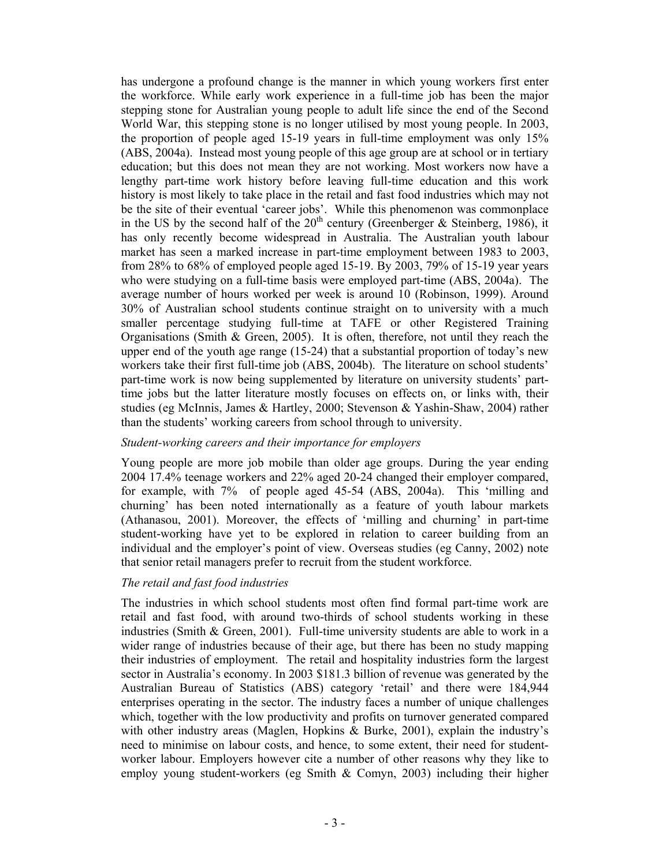has undergone a profound change is the manner in which young workers first enter the workforce. While early work experience in a full-time job has been the major stepping stone for Australian young people to adult life since the end of the Second World War, this stepping stone is no longer utilised by most young people. In 2003, the proportion of people aged 15-19 years in full-time employment was only 15% (ABS, 2004a). Instead most young people of this age group are at school or in tertiary education; but this does not mean they are not working. Most workers now have a lengthy part-time work history before leaving full-time education and this work history is most likely to take place in the retail and fast food industries which may not be the site of their eventual 'career jobs'. While this phenomenon was commonplace in the US by the second half of the  $20<sup>th</sup>$  century (Greenberger & Steinberg, 1986), it has only recently become widespread in Australia. The Australian youth labour market has seen a marked increase in part-time employment between 1983 to 2003, from 28% to 68% of employed people aged 15-19. By 2003, 79% of 15-19 year years who were studying on a full-time basis were employed part-time (ABS, 2004a). The average number of hours worked per week is around 10 (Robinson, 1999). Around 30% of Australian school students continue straight on to university with a much smaller percentage studying full-time at TAFE or other Registered Training Organisations (Smith & Green, 2005). It is often, therefore, not until they reach the upper end of the youth age range (15-24) that a substantial proportion of today's new workers take their first full-time job (ABS, 2004b). The literature on school students' part-time work is now being supplemented by literature on university students' parttime jobs but the latter literature mostly focuses on effects on, or links with, their studies (eg McInnis, James & Hartley, 2000; Stevenson & Yashin-Shaw, 2004) rather than the students' working careers from school through to university.

#### *Student-working careers and their importance for employers*

Young people are more job mobile than older age groups. During the year ending 2004 17.4% teenage workers and 22% aged 20-24 changed their employer compared, for example, with 7% of people aged 45-54 (ABS, 2004a). This 'milling and churning' has been noted internationally as a feature of youth labour markets (Athanasou, 2001). Moreover, the effects of 'milling and churning' in part-time student-working have yet to be explored in relation to career building from an individual and the employer's point of view. Overseas studies (eg Canny, 2002) note that senior retail managers prefer to recruit from the student workforce.

## *The retail and fast food industries*

The industries in which school students most often find formal part-time work are retail and fast food, with around two-thirds of school students working in these industries (Smith & Green, 2001). Full-time university students are able to work in a wider range of industries because of their age, but there has been no study mapping their industries of employment. The retail and hospitality industries form the largest sector in Australia's economy. In 2003 \$181.3 billion of revenue was generated by the Australian Bureau of Statistics (ABS) category 'retail' and there were 184,944 enterprises operating in the sector. The industry faces a number of unique challenges which, together with the low productivity and profits on turnover generated compared with other industry areas (Maglen, Hopkins & Burke, 2001), explain the industry's need to minimise on labour costs, and hence, to some extent, their need for studentworker labour. Employers however cite a number of other reasons why they like to employ young student-workers (eg Smith  $\&$  Comyn, 2003) including their higher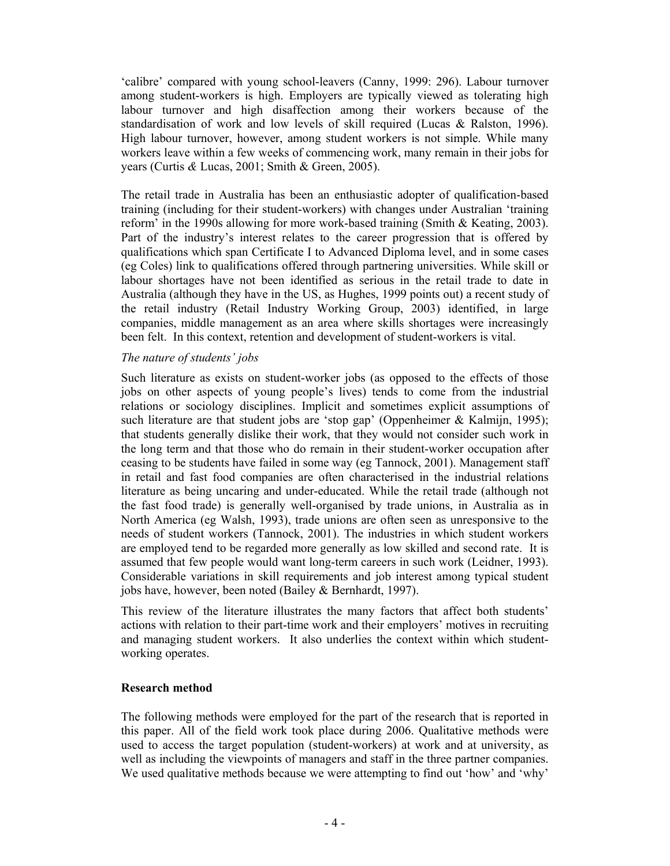'calibre' compared with young school-leavers (Canny, 1999: 296). Labour turnover among student-workers is high. Employers are typically viewed as tolerating high labour turnover and high disaffection among their workers because of the standardisation of work and low levels of skill required (Lucas & Ralston, 1996). High labour turnover, however, among student workers is not simple. While many workers leave within a few weeks of commencing work, many remain in their jobs for years (Curtis *&* Lucas, 2001; Smith & Green, 2005).

The retail trade in Australia has been an enthusiastic adopter of qualification-based training (including for their student-workers) with changes under Australian 'training reform' in the 1990s allowing for more work-based training (Smith & Keating, 2003). Part of the industry's interest relates to the career progression that is offered by qualifications which span Certificate I to Advanced Diploma level, and in some cases (eg Coles) link to qualifications offered through partnering universities. While skill or labour shortages have not been identified as serious in the retail trade to date in Australia (although they have in the US, as Hughes, 1999 points out) a recent study of the retail industry (Retail Industry Working Group, 2003) identified, in large companies, middle management as an area where skills shortages were increasingly been felt. In this context, retention and development of student-workers is vital.

## *The nature of students' jobs*

Such literature as exists on student-worker jobs (as opposed to the effects of those jobs on other aspects of young people's lives) tends to come from the industrial relations or sociology disciplines. Implicit and sometimes explicit assumptions of such literature are that student jobs are 'stop gap' (Oppenheimer & Kalmijn, 1995); that students generally dislike their work, that they would not consider such work in the long term and that those who do remain in their student-worker occupation after ceasing to be students have failed in some way (eg Tannock, 2001). Management staff in retail and fast food companies are often characterised in the industrial relations literature as being uncaring and under-educated. While the retail trade (although not the fast food trade) is generally well-organised by trade unions, in Australia as in North America (eg Walsh, 1993), trade unions are often seen as unresponsive to the needs of student workers (Tannock, 2001). The industries in which student workers are employed tend to be regarded more generally as low skilled and second rate. It is assumed that few people would want long-term careers in such work (Leidner, 1993). Considerable variations in skill requirements and job interest among typical student jobs have, however, been noted (Bailey & Bernhardt, 1997).

This review of the literature illustrates the many factors that affect both students' actions with relation to their part-time work and their employers' motives in recruiting and managing student workers. It also underlies the context within which studentworking operates.

#### **Research method**

The following methods were employed for the part of the research that is reported in this paper. All of the field work took place during 2006. Qualitative methods were used to access the target population (student-workers) at work and at university, as well as including the viewpoints of managers and staff in the three partner companies. We used qualitative methods because we were attempting to find out 'how' and 'why'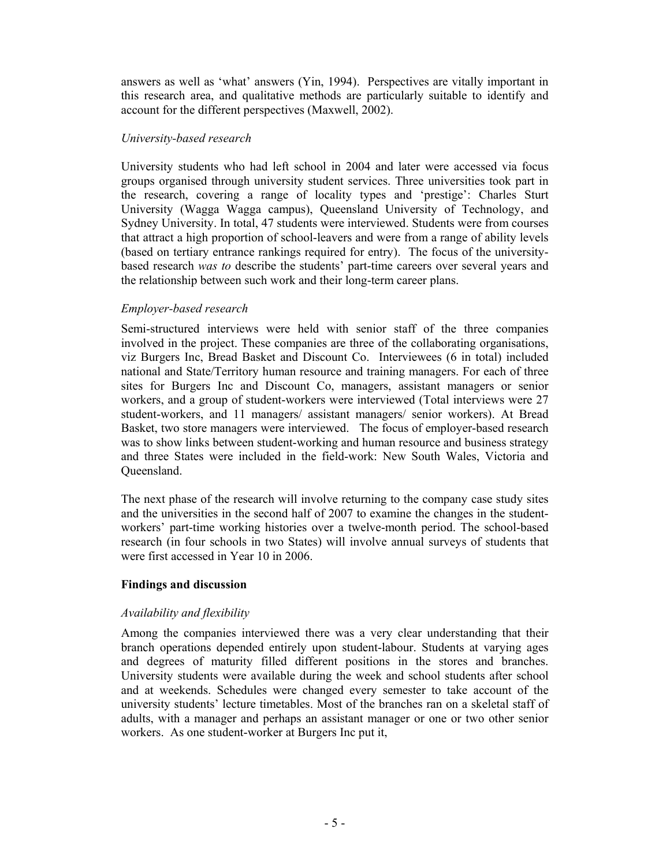answers as well as 'what' answers (Yin, 1994). Perspectives are vitally important in this research area, and qualitative methods are particularly suitable to identify and account for the different perspectives (Maxwell, 2002).

#### *University-based research*

University students who had left school in 2004 and later were accessed via focus groups organised through university student services. Three universities took part in the research, covering a range of locality types and 'prestige': Charles Sturt University (Wagga Wagga campus), Queensland University of Technology, and Sydney University. In total, 47 students were interviewed. Students were from courses that attract a high proportion of school-leavers and were from a range of ability levels (based on tertiary entrance rankings required for entry). The focus of the universitybased research *was to* describe the students' part-time careers over several years and the relationship between such work and their long-term career plans.

## *Employer-based research*

Semi-structured interviews were held with senior staff of the three companies involved in the project. These companies are three of the collaborating organisations, viz Burgers Inc, Bread Basket and Discount Co. Interviewees (6 in total) included national and State/Territory human resource and training managers. For each of three sites for Burgers Inc and Discount Co, managers, assistant managers or senior workers, and a group of student-workers were interviewed (Total interviews were 27 student-workers, and 11 managers/ assistant managers/ senior workers). At Bread Basket, two store managers were interviewed. The focus of employer-based research was to show links between student-working and human resource and business strategy and three States were included in the field-work: New South Wales, Victoria and Queensland.

The next phase of the research will involve returning to the company case study sites and the universities in the second half of 2007 to examine the changes in the studentworkers' part-time working histories over a twelve-month period. The school-based research (in four schools in two States) will involve annual surveys of students that were first accessed in Year 10 in 2006.

## **Findings and discussion**

## *Availability and flexibility*

Among the companies interviewed there was a very clear understanding that their branch operations depended entirely upon student-labour. Students at varying ages and degrees of maturity filled different positions in the stores and branches. University students were available during the week and school students after school and at weekends. Schedules were changed every semester to take account of the university students' lecture timetables. Most of the branches ran on a skeletal staff of adults, with a manager and perhaps an assistant manager or one or two other senior workers. As one student-worker at Burgers Inc put it,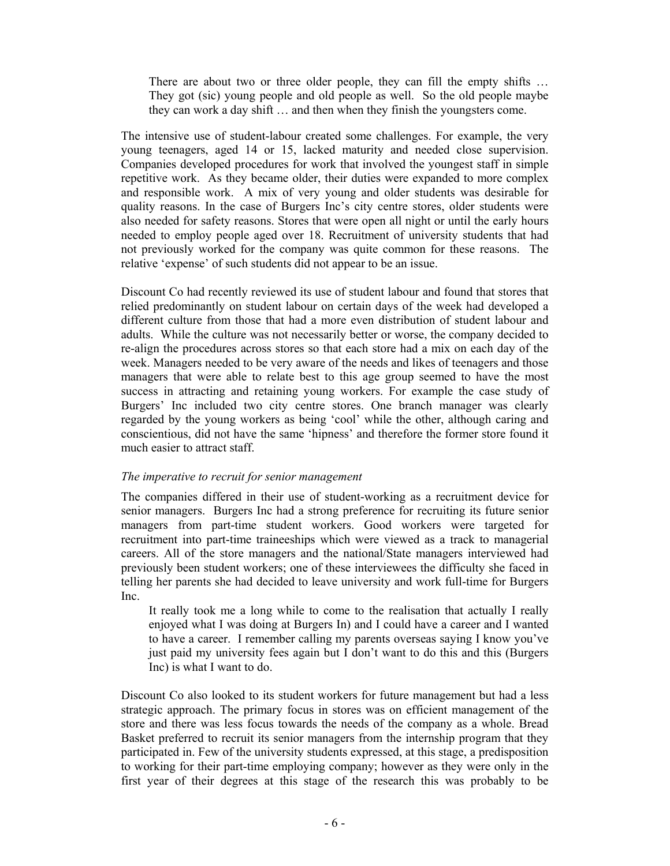There are about two or three older people, they can fill the empty shifts … They got (sic) young people and old people as well. So the old people maybe they can work a day shift … and then when they finish the youngsters come.

The intensive use of student-labour created some challenges. For example, the very young teenagers, aged 14 or 15, lacked maturity and needed close supervision. Companies developed procedures for work that involved the youngest staff in simple repetitive work. As they became older, their duties were expanded to more complex and responsible work. A mix of very young and older students was desirable for quality reasons. In the case of Burgers Inc's city centre stores, older students were also needed for safety reasons. Stores that were open all night or until the early hours needed to employ people aged over 18. Recruitment of university students that had not previously worked for the company was quite common for these reasons. The relative 'expense' of such students did not appear to be an issue.

Discount Co had recently reviewed its use of student labour and found that stores that relied predominantly on student labour on certain days of the week had developed a different culture from those that had a more even distribution of student labour and adults. While the culture was not necessarily better or worse, the company decided to re-align the procedures across stores so that each store had a mix on each day of the week. Managers needed to be very aware of the needs and likes of teenagers and those managers that were able to relate best to this age group seemed to have the most success in attracting and retaining young workers. For example the case study of Burgers' Inc included two city centre stores. One branch manager was clearly regarded by the young workers as being 'cool' while the other, although caring and conscientious, did not have the same 'hipness' and therefore the former store found it much easier to attract staff.

#### *The imperative to recruit for senior management*

The companies differed in their use of student-working as a recruitment device for senior managers. Burgers Inc had a strong preference for recruiting its future senior managers from part-time student workers. Good workers were targeted for recruitment into part-time traineeships which were viewed as a track to managerial careers. All of the store managers and the national/State managers interviewed had previously been student workers; one of these interviewees the difficulty she faced in telling her parents she had decided to leave university and work full-time for Burgers Inc.

It really took me a long while to come to the realisation that actually I really enjoyed what I was doing at Burgers In) and I could have a career and I wanted to have a career. I remember calling my parents overseas saying I know you've just paid my university fees again but I don't want to do this and this (Burgers Inc) is what I want to do.

Discount Co also looked to its student workers for future management but had a less strategic approach. The primary focus in stores was on efficient management of the store and there was less focus towards the needs of the company as a whole. Bread Basket preferred to recruit its senior managers from the internship program that they participated in. Few of the university students expressed, at this stage, a predisposition to working for their part-time employing company; however as they were only in the first year of their degrees at this stage of the research this was probably to be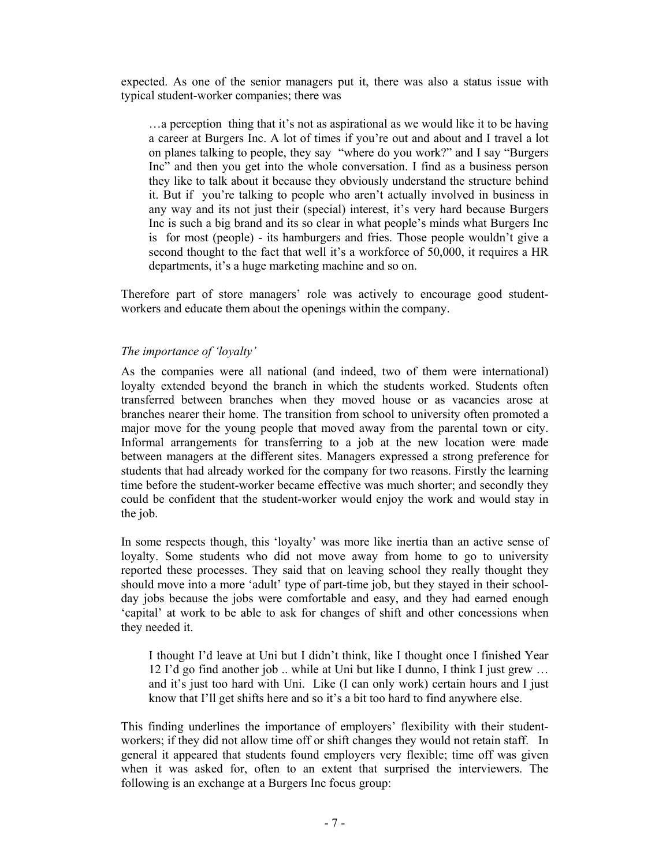expected. As one of the senior managers put it, there was also a status issue with typical student-worker companies; there was

…a perception thing that it's not as aspirational as we would like it to be having a career at Burgers Inc. A lot of times if you're out and about and I travel a lot on planes talking to people, they say "where do you work?" and I say "Burgers Inc" and then you get into the whole conversation. I find as a business person they like to talk about it because they obviously understand the structure behind it. But if you're talking to people who aren't actually involved in business in any way and its not just their (special) interest, it's very hard because Burgers Inc is such a big brand and its so clear in what people's minds what Burgers Inc is for most (people) - its hamburgers and fries. Those people wouldn't give a second thought to the fact that well it's a workforce of 50,000, it requires a HR departments, it's a huge marketing machine and so on.

Therefore part of store managers' role was actively to encourage good studentworkers and educate them about the openings within the company.

### *The importance of 'loyalty'*

As the companies were all national (and indeed, two of them were international) loyalty extended beyond the branch in which the students worked. Students often transferred between branches when they moved house or as vacancies arose at branches nearer their home. The transition from school to university often promoted a major move for the young people that moved away from the parental town or city. Informal arrangements for transferring to a job at the new location were made between managers at the different sites. Managers expressed a strong preference for students that had already worked for the company for two reasons. Firstly the learning time before the student-worker became effective was much shorter; and secondly they could be confident that the student-worker would enjoy the work and would stay in the job.

In some respects though, this 'loyalty' was more like inertia than an active sense of loyalty. Some students who did not move away from home to go to university reported these processes. They said that on leaving school they really thought they should move into a more 'adult' type of part-time job, but they stayed in their schoolday jobs because the jobs were comfortable and easy, and they had earned enough 'capital' at work to be able to ask for changes of shift and other concessions when they needed it.

I thought I'd leave at Uni but I didn't think, like I thought once I finished Year 12 I'd go find another job .. while at Uni but like I dunno, I think I just grew … and it's just too hard with Uni. Like (I can only work) certain hours and I just know that I'll get shifts here and so it's a bit too hard to find anywhere else.

This finding underlines the importance of employers' flexibility with their studentworkers; if they did not allow time off or shift changes they would not retain staff. In general it appeared that students found employers very flexible; time off was given when it was asked for, often to an extent that surprised the interviewers. The following is an exchange at a Burgers Inc focus group: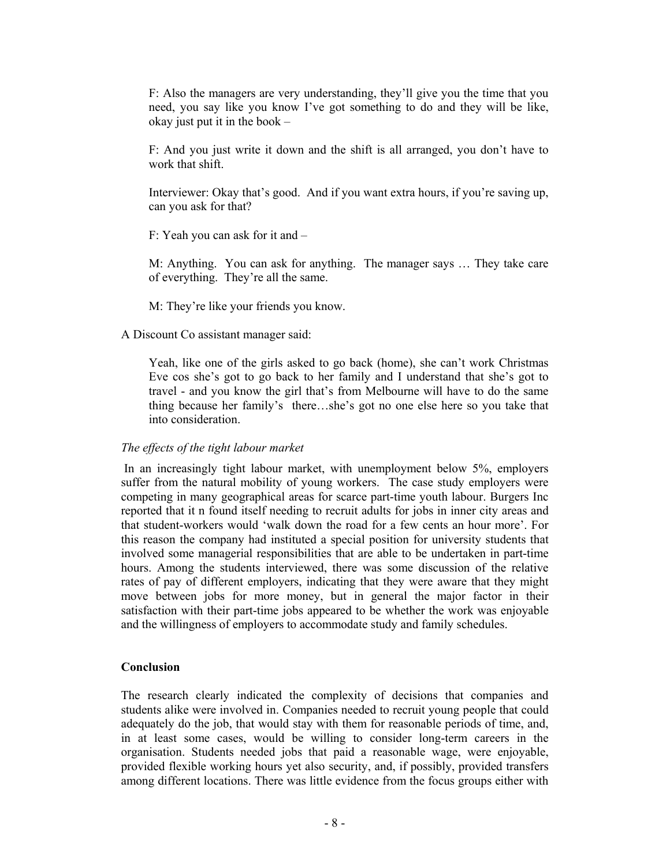F: Also the managers are very understanding, they'll give you the time that you need, you say like you know I've got something to do and they will be like, okay just put it in the book –

F: And you just write it down and the shift is all arranged, you don't have to work that shift.

Interviewer: Okay that's good. And if you want extra hours, if you're saving up, can you ask for that?

F: Yeah you can ask for it and –

M: Anything. You can ask for anything. The manager says … They take care of everything. They're all the same.

M: They're like your friends you know.

A Discount Co assistant manager said:

Yeah, like one of the girls asked to go back (home), she can't work Christmas Eve cos she's got to go back to her family and I understand that she's got to travel - and you know the girl that's from Melbourne will have to do the same thing because her family's there…she's got no one else here so you take that into consideration.

#### *The effects of the tight labour market*

In an increasingly tight labour market, with unemployment below 5%, employers suffer from the natural mobility of young workers. The case study employers were competing in many geographical areas for scarce part-time youth labour. Burgers Inc reported that it n found itself needing to recruit adults for jobs in inner city areas and that student-workers would 'walk down the road for a few cents an hour more'. For this reason the company had instituted a special position for university students that involved some managerial responsibilities that are able to be undertaken in part-time hours. Among the students interviewed, there was some discussion of the relative rates of pay of different employers, indicating that they were aware that they might move between jobs for more money, but in general the major factor in their satisfaction with their part-time jobs appeared to be whether the work was enjoyable and the willingness of employers to accommodate study and family schedules.

#### **Conclusion**

The research clearly indicated the complexity of decisions that companies and students alike were involved in. Companies needed to recruit young people that could adequately do the job, that would stay with them for reasonable periods of time, and, in at least some cases, would be willing to consider long-term careers in the organisation. Students needed jobs that paid a reasonable wage, were enjoyable, provided flexible working hours yet also security, and, if possibly, provided transfers among different locations. There was little evidence from the focus groups either with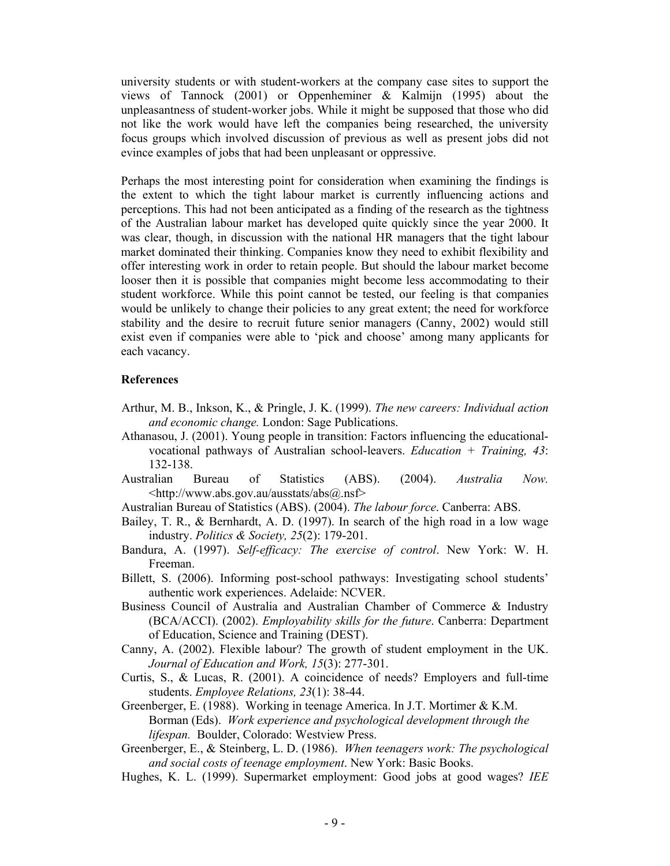university students or with student-workers at the company case sites to support the views of Tannock (2001) or Oppenheminer & Kalmijn (1995) about the unpleasantness of student-worker jobs. While it might be supposed that those who did not like the work would have left the companies being researched, the university focus groups which involved discussion of previous as well as present jobs did not evince examples of jobs that had been unpleasant or oppressive.

Perhaps the most interesting point for consideration when examining the findings is the extent to which the tight labour market is currently influencing actions and perceptions. This had not been anticipated as a finding of the research as the tightness of the Australian labour market has developed quite quickly since the year 2000. It was clear, though, in discussion with the national HR managers that the tight labour market dominated their thinking. Companies know they need to exhibit flexibility and offer interesting work in order to retain people. But should the labour market become looser then it is possible that companies might become less accommodating to their student workforce. While this point cannot be tested, our feeling is that companies would be unlikely to change their policies to any great extent; the need for workforce stability and the desire to recruit future senior managers (Canny, 2002) would still exist even if companies were able to 'pick and choose' among many applicants for each vacancy.

#### **References**

- Arthur, M. B., Inkson, K., & Pringle, J. K. (1999). *The new careers: Individual action and economic change.* London: Sage Publications.
- Athanasou, J. (2001). Young people in transition: Factors influencing the educationalvocational pathways of Australian school-leavers. *Education + Training, 43*: 132-138.
- Australian Bureau of Statistics (ABS). (2004). *Australia Now.*  <http://www.abs.gov.au/ausstats/abs@.nsf>
- Australian Bureau of Statistics (ABS). (2004). *The labour force*. Canberra: ABS.
- Bailey, T. R., & Bernhardt, A. D. (1997). In search of the high road in a low wage industry. *Politics & Society, 25*(2): 179-201.
- Bandura, A. (1997). *Self-efficacy: The exercise of control*. New York: W. H. Freeman.
- Billett, S. (2006). Informing post-school pathways: Investigating school students' authentic work experiences. Adelaide: NCVER.
- Business Council of Australia and Australian Chamber of Commerce & Industry (BCA/ACCI). (2002). *Employability skills for the future*. Canberra: Department of Education, Science and Training (DEST).
- Canny, A. (2002). Flexible labour? The growth of student employment in the UK. *Journal of Education and Work, 15*(3): 277-301.
- Curtis, S., & Lucas, R. (2001). A coincidence of needs? Employers and full-time students. *Employee Relations, 23*(1): 38-44.
- Greenberger, E. (1988). Working in teenage America. In J.T. Mortimer & K.M. Borman (Eds). *Work experience and psychological development through the lifespan.* Boulder, Colorado: Westview Press.
- Greenberger, E., & Steinberg, L. D. (1986). *When teenagers work: The psychological and social costs of teenage employment*. New York: Basic Books.
- Hughes, K. L. (1999). Supermarket employment: Good jobs at good wages? *IEE*